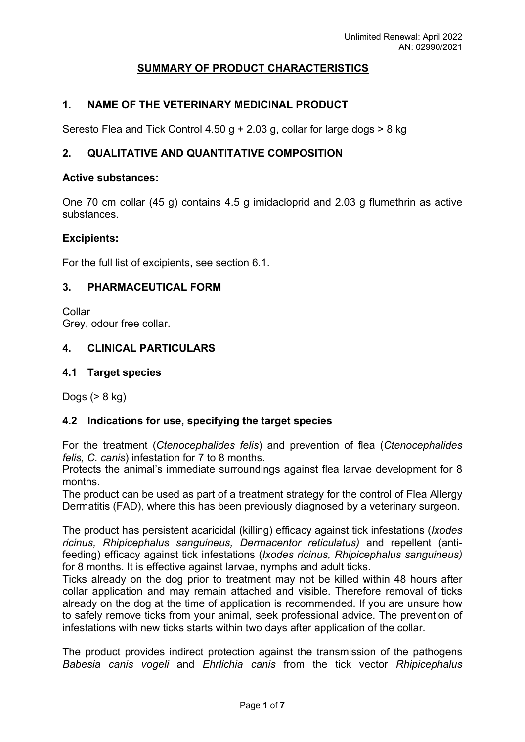# **SUMMARY OF PRODUCT CHARACTERISTICS**

## **1. NAME OF THE VETERINARY MEDICINAL PRODUCT**

Seresto Flea and Tick Control 4.50 g + 2.03 g, collar for large dogs > 8 kg

## **2. QUALITATIVE AND QUANTITATIVE COMPOSITION**

#### **Active substances:**

One 70 cm collar (45 g) contains 4.5 g imidacloprid and 2.03 g flumethrin as active substances.

#### **Excipients:**

For the full list of excipients, see section 6.1.

#### **3. PHARMACEUTICAL FORM**

Collar Grey, odour free collar.

### **4. CLINICAL PARTICULARS**

#### **4.1 Target species**

Dogs (> 8 kg)

### **4.2 Indications for use, specifying the target species**

For the treatment (*Ctenocephalides felis*) and prevention of flea (*Ctenocephalides felis, C. canis*) infestation for 7 to 8 months.

Protects the animal's immediate surroundings against flea larvae development for 8 months.

The product can be used as part of a treatment strategy for the control of Flea Allergy Dermatitis (FAD), where this has been previously diagnosed by a veterinary surgeon.

The product has persistent acaricidal (killing) efficacy against tick infestations (*Ixodes ricinus, Rhipicephalus sanguineus, Dermacentor reticulatus)* and repellent (antifeeding) efficacy against tick infestations (*Ixodes ricinus, Rhipicephalus sanguineus)*  for 8 months. It is effective against larvae, nymphs and adult ticks.

Ticks already on the dog prior to treatment may not be killed within 48 hours after collar application and may remain attached and visible. Therefore removal of ticks already on the dog at the time of application is recommended. If you are unsure how to safely remove ticks from your animal, seek professional advice. The prevention of infestations with new ticks starts within two days after application of the collar.

The product provides indirect protection against the transmission of the pathogens *Babesia canis vogeli* and *Ehrlichia canis* from the tick vector *Rhipicephalus*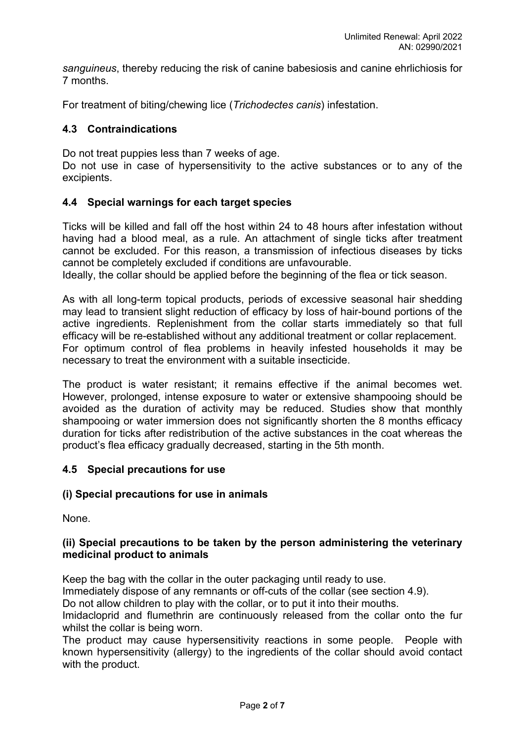*sanguineus*, thereby reducing the risk of canine babesiosis and canine ehrlichiosis for 7 months.

For treatment of biting/chewing lice (*Trichodectes canis*) infestation.

### **4.3 Contraindications**

Do not treat puppies less than 7 weeks of age.

Do not use in case of hypersensitivity to the active substances or to any of the excipients.

#### **4.4 Special warnings for each target species**

Ticks will be killed and fall off the host within 24 to 48 hours after infestation without having had a blood meal, as a rule. An attachment of single ticks after treatment cannot be excluded. For this reason, a transmission of infectious diseases by ticks cannot be completely excluded if conditions are unfavourable.

Ideally, the collar should be applied before the beginning of the flea or tick season.

As with all long-term topical products, periods of excessive seasonal hair shedding may lead to transient slight reduction of efficacy by loss of hair-bound portions of the active ingredients. Replenishment from the collar starts immediately so that full efficacy will be re-established without any additional treatment or collar replacement. For optimum control of flea problems in heavily infested households it may be necessary to treat the environment with a suitable insecticide.

The product is water resistant; it remains effective if the animal becomes wet. However, prolonged, intense exposure to water or extensive shampooing should be avoided as the duration of activity may be reduced. Studies show that monthly shampooing or water immersion does not significantly shorten the 8 months efficacy duration for ticks after redistribution of the active substances in the coat whereas the product's flea efficacy gradually decreased, starting in the 5th month.

### **4.5 Special precautions for use**

#### **(i) Special precautions for use in animals**

None.

#### **(ii) Special precautions to be taken by the person administering the veterinary medicinal product to animals**

Keep the bag with the collar in the outer packaging until ready to use.

Immediately dispose of any remnants or off-cuts of the collar (see section 4.9).

Do not allow children to play with the collar, or to put it into their mouths.

Imidacloprid and flumethrin are continuously released from the collar onto the fur whilst the collar is being worn.

The product may cause hypersensitivity reactions in some people. People with known hypersensitivity (allergy) to the ingredients of the collar should avoid contact with the product.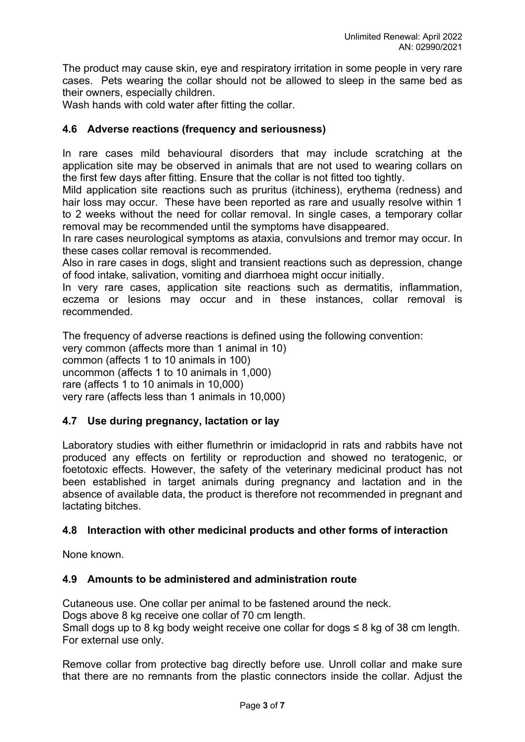The product may cause skin, eye and respiratory irritation in some people in very rare cases. Pets wearing the collar should not be allowed to sleep in the same bed as their owners, especially children.

Wash hands with cold water after fitting the collar.

### **4.6 Adverse reactions (frequency and seriousness)**

In rare cases mild behavioural disorders that may include scratching at the application site may be observed in animals that are not used to wearing collars on the first few days after fitting. Ensure that the collar is not fitted too tightly.

Mild application site reactions such as pruritus (itchiness), erythema (redness) and hair loss may occur. These have been reported as rare and usually resolve within 1 to 2 weeks without the need for collar removal. In single cases, a temporary collar removal may be recommended until the symptoms have disappeared.

In rare cases neurological symptoms as ataxia, convulsions and tremor may occur. In these cases collar removal is recommended.

Also in rare cases in dogs, slight and transient reactions such as depression, change of food intake, salivation, vomiting and diarrhoea might occur initially.

In very rare cases, application site reactions such as dermatitis, inflammation, eczema or lesions may occur and in these instances, collar removal is recommended.

The frequency of adverse reactions is defined using the following convention: very common (affects more than 1 animal in 10) common (affects 1 to 10 animals in 100) uncommon (affects 1 to 10 animals in 1,000) rare (affects 1 to 10 animals in 10,000) very rare (affects less than 1 animals in 10,000)

### **4.7 Use during pregnancy, lactation or lay**

Laboratory studies with either flumethrin or imidacloprid in rats and rabbits have not produced any effects on fertility or reproduction and showed no teratogenic, or foetotoxic effects. However, the safety of the veterinary medicinal product has not been established in target animals during pregnancy and lactation and in the absence of available data, the product is therefore not recommended in pregnant and lactating bitches.

### **4.8 Interaction with other medicinal products and other forms of interaction**

None known.

### **4.9 Amounts to be administered and administration route**

Cutaneous use. One collar per animal to be fastened around the neck. Dogs above 8 kg receive one collar of 70 cm length. Small dogs up to 8 kg body weight receive one collar for dogs  $\leq 8$  kg of 38 cm length. For external use only.

Remove collar from protective bag directly before use. Unroll collar and make sure that there are no remnants from the plastic connectors inside the collar. Adjust the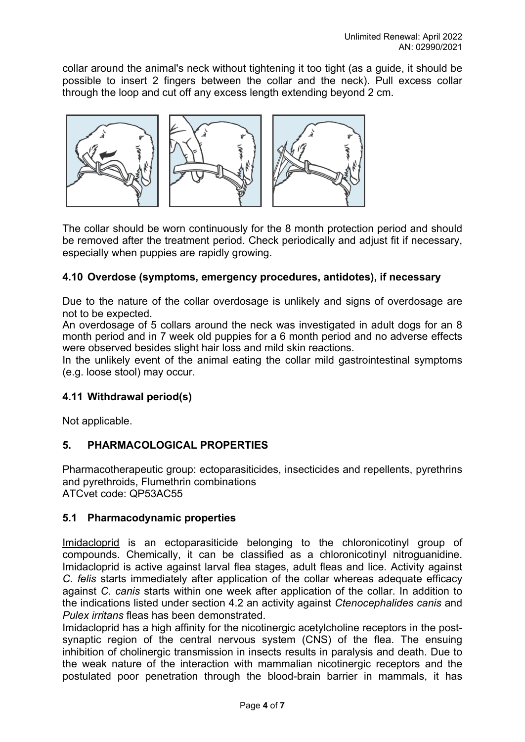collar around the animal's neck without tightening it too tight (as a guide, it should be possible to insert 2 fingers between the collar and the neck). Pull excess collar through the loop and cut off any excess length extending beyond 2 cm.



The collar should be worn continuously for the 8 month protection period and should be removed after the treatment period. Check periodically and adjust fit if necessary, especially when puppies are rapidly growing.

## **4.10 Overdose (symptoms, emergency procedures, antidotes), if necessary**

Due to the nature of the collar overdosage is unlikely and signs of overdosage are not to be expected.

An overdosage of 5 collars around the neck was investigated in adult dogs for an 8 month period and in 7 week old puppies for a 6 month period and no adverse effects were observed besides slight hair loss and mild skin reactions.

In the unlikely event of the animal eating the collar mild gastrointestinal symptoms (e.g. loose stool) may occur.

### **4.11 Withdrawal period(s)**

Not applicable.

### **5. PHARMACOLOGICAL PROPERTIES**

Pharmacotherapeutic group: ectoparasiticides, insecticides and repellents, pyrethrins and pyrethroids, Flumethrin combinations ATCvet code: QP53AC55

### **5.1 Pharmacodynamic properties**

Imidacloprid is an ectoparasiticide belonging to the chloronicotinyl group of compounds. Chemically, it can be classified as a chloronicotinyl nitroguanidine. Imidacloprid is active against larval flea stages, adult fleas and lice. Activity against *C. felis* starts immediately after application of the collar whereas adequate efficacy against *C. canis* starts within one week after application of the collar. In addition to the indications listed under section 4.2 an activity against *Ctenocephalides canis* and *Pulex irritans* fleas has been demonstrated.

Imidacloprid has a high affinity for the nicotinergic acetylcholine receptors in the postsynaptic region of the central nervous system (CNS) of the flea. The ensuing inhibition of cholinergic transmission in insects results in paralysis and death. Due to the weak nature of the interaction with mammalian nicotinergic receptors and the postulated poor penetration through the blood-brain barrier in mammals, it has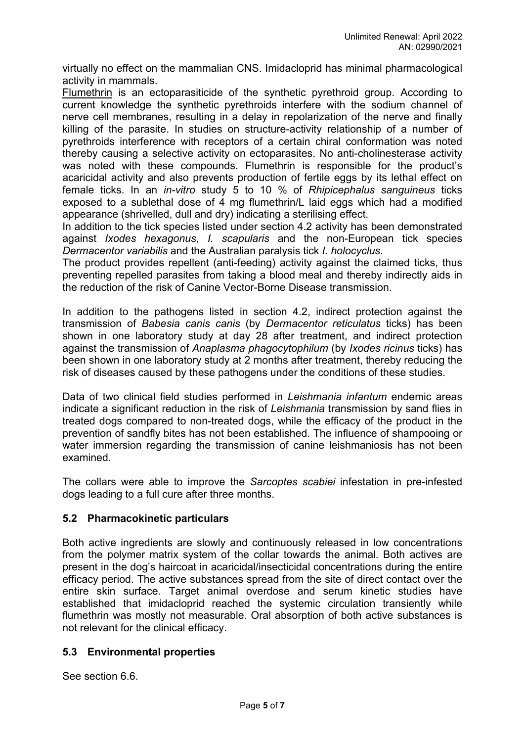virtually no effect on the mammalian CNS. Imidacloprid has minimal pharmacological activity in mammals.

Flumethrin is an ectoparasiticide of the synthetic pyrethroid group. According to current knowledge the synthetic pyrethroids interfere with the sodium channel of nerve cell membranes, resulting in a delay in repolarization of the nerve and finally killing of the parasite. In studies on structure-activity relationship of a number of pyrethroids interference with receptors of a certain chiral conformation was noted thereby causing a selective activity on ectoparasites. No anti-cholinesterase activity was noted with these compounds. Flumethrin is responsible for the product's acaricidal activity and also prevents production of fertile eggs by its lethal effect on female ticks. In an *in-vitro* study 5 to 10 % of *Rhipicephalus sanguineus* ticks exposed to a sublethal dose of 4 mg flumethrin/L laid eggs which had a modified appearance (shrivelled, dull and dry) indicating a sterilising effect.

In addition to the tick species listed under section 4.2 activity has been demonstrated against *Ixodes hexagonus, I. scapularis* and the non-European tick species *Dermacentor variabilis* and the Australian paralysis tick *I. holocyclus*.

The product provides repellent (anti-feeding) activity against the claimed ticks, thus preventing repelled parasites from taking a blood meal and thereby indirectly aids in the reduction of the risk of Canine Vector-Borne Disease transmission.

In addition to the pathogens listed in section 4.2, indirect protection against the transmission of *Babesia canis canis* (by *Dermacentor reticulatus* ticks) has been shown in one laboratory study at day 28 after treatment, and indirect protection against the transmission of *Anaplasma phagocytophilum* (by *Ixodes ricinus* ticks) has been shown in one laboratory study at 2 months after treatment, thereby reducing the risk of diseases caused by these pathogens under the conditions of these studies.

Data of two clinical field studies performed in *Leishmania infantum* endemic areas indicate a significant reduction in the risk of *Leishmania* transmission by sand flies in treated dogs compared to non-treated dogs, while the efficacy of the product in the prevention of sandfly bites has not been established. The influence of shampooing or water immersion regarding the transmission of canine leishmaniosis has not been examined.

The collars were able to improve the *Sarcoptes scabiei* infestation in pre-infested dogs leading to a full cure after three months.

### **5.2 Pharmacokinetic particulars**

Both active ingredients are slowly and continuously released in low concentrations from the polymer matrix system of the collar towards the animal. Both actives are present in the dog's haircoat in acaricidal/insecticidal concentrations during the entire efficacy period. The active substances spread from the site of direct contact over the entire skin surface. Target animal overdose and serum kinetic studies have established that imidacloprid reached the systemic circulation transiently while flumethrin was mostly not measurable. Oral absorption of both active substances is not relevant for the clinical efficacy.

### **5.3 Environmental properties**

See section 6.6.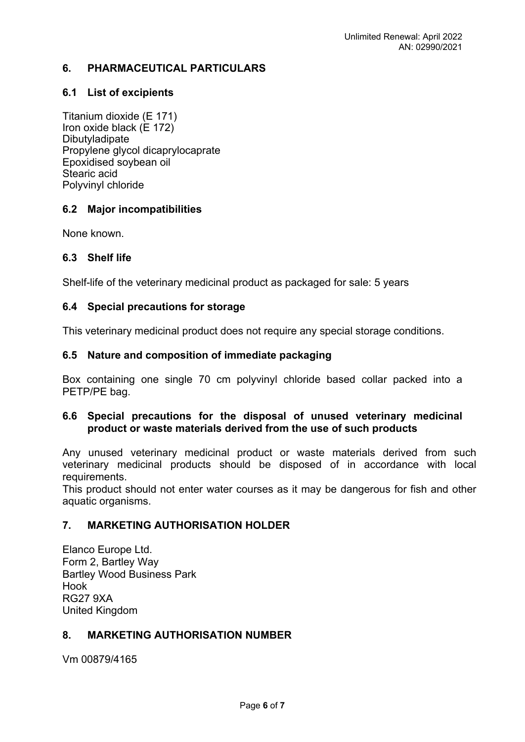## **6. PHARMACEUTICAL PARTICULARS**

### **6.1 List of excipients**

Titanium dioxide (E 171) Iron oxide black (E 172) Dibutyladipate Propylene glycol dicaprylocaprate Epoxidised soybean oil Stearic acid Polyvinyl chloride

### **6.2 Major incompatibilities**

None known.

### **6.3 Shelf life**

Shelf-life of the veterinary medicinal product as packaged for sale: 5 years

### **6.4 Special precautions for storage**

This veterinary medicinal product does not require any special storage conditions.

### **6.5 Nature and composition of immediate packaging**

Box containing one single 70 cm polyvinyl chloride based collar packed into a PETP/PE bag.

### **6.6 Special precautions for the disposal of unused veterinary medicinal product or waste materials derived from the use of such products**

Any unused veterinary medicinal product or waste materials derived from such veterinary medicinal products should be disposed of in accordance with local requirements.

This product should not enter water courses as it may be dangerous for fish and other aquatic organisms.

## **7. MARKETING AUTHORISATION HOLDER**

Elanco Europe Ltd. Form 2, Bartley Way Bartley Wood Business Park Hook RG27 9XA United Kingdom

### **8. MARKETING AUTHORISATION NUMBER**

Vm 00879/4165